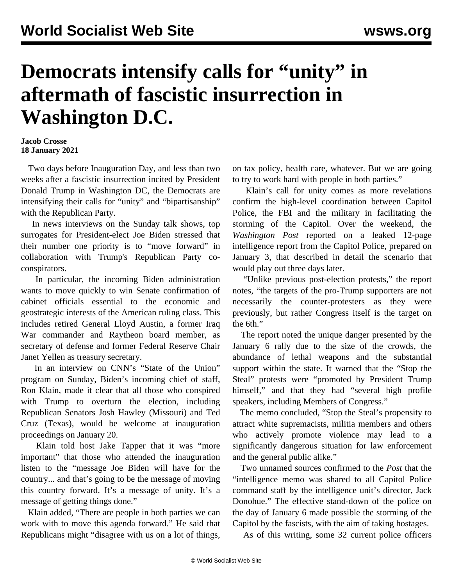## **Democrats intensify calls for "unity" in aftermath of fascistic insurrection in Washington D.C.**

## **Jacob Crosse 18 January 2021**

 Two days before Inauguration Day, and less than two weeks after a fascistic insurrection incited by President Donald Trump in Washington DC, the Democrats are intensifying their calls for "unity" and "bipartisanship" with the Republican Party.

 In news interviews on the Sunday talk shows, top surrogates for President-elect Joe Biden stressed that their number one priority is to "move forward" in collaboration with Trump's Republican Party coconspirators.

 In particular, the incoming Biden administration wants to move quickly to win Senate confirmation of cabinet officials essential to the economic and geostrategic interests of the American ruling class. This includes retired General Lloyd Austin, a former Iraq War commander and Raytheon board member, as secretary of defense and former Federal Reserve Chair Janet Yellen as treasury secretary.

 In an interview on CNN's "State of the Union" program on Sunday, Biden's incoming chief of staff, Ron Klain, made it clear that all those who conspired with Trump to overturn the election, including Republican Senators Josh Hawley (Missouri) and Ted Cruz (Texas), would be welcome at inauguration proceedings on January 20.

 Klain told host Jake Tapper that it was "more important" that those who attended the inauguration listen to the "message Joe Biden will have for the country... and that's going to be the message of moving this country forward. It's a message of unity. It's a message of getting things done."

 Klain added, "There are people in both parties we can work with to move this agenda forward." He said that Republicans might "disagree with us on a lot of things,

on tax policy, health care, whatever. But we are going to try to work hard with people in both parties."

 Klain's call for unity comes as more revelations confirm the high-level coordination between Capitol Police, the FBI and the military in facilitating the storming of the Capitol. Over the weekend, the *Washington Post* reported on a leaked 12-page intelligence report from the Capitol Police, prepared on January 3, that described in detail the scenario that would play out three days later.

 "Unlike previous post-election protests," the report notes, "the targets of the pro-Trump supporters are not necessarily the counter-protesters as they were previously, but rather Congress itself is the target on the 6th."

 The report noted the unique danger presented by the January 6 rally due to the size of the crowds, the abundance of lethal weapons and the substantial support within the state. It warned that the "Stop the Steal" protests were "promoted by President Trump himself," and that they had "several high profile speakers, including Members of Congress."

 The memo concluded, "Stop the Steal's propensity to attract white supremacists, militia members and others who actively promote violence may lead to a significantly dangerous situation for law enforcement and the general public alike."

 Two unnamed sources confirmed to the *Post* that the "intelligence memo was shared to all Capitol Police command staff by the intelligence unit's director, Jack Donohue." The effective stand-down of the police on the day of January 6 made possible the storming of the Capitol by the fascists, with the aim of taking hostages.

As of this writing, some 32 current police officers